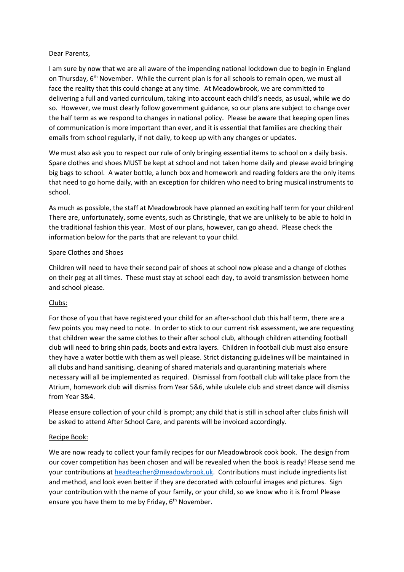## Dear Parents,

I am sure by now that we are all aware of the impending national lockdown due to begin in England on Thursday,  $6<sup>th</sup>$  November. While the current plan is for all schools to remain open, we must all face the reality that this could change at any time. At Meadowbrook, we are committed to delivering a full and varied curriculum, taking into account each child's needs, as usual, while we do so. However, we must clearly follow government guidance, so our plans are subject to change over the half term as we respond to changes in national policy. Please be aware that keeping open lines of communication is more important than ever, and it is essential that families are checking their emails from school regularly, if not daily, to keep up with any changes or updates.

We must also ask you to respect our rule of only bringing essential items to school on a daily basis. Spare clothes and shoes MUST be kept at school and not taken home daily and please avoid bringing big bags to school. A water bottle, a lunch box and homework and reading folders are the only items that need to go home daily, with an exception for children who need to bring musical instruments to school.

As much as possible, the staff at Meadowbrook have planned an exciting half term for your children! There are, unfortunately, some events, such as Christingle, that we are unlikely to be able to hold in the traditional fashion this year. Most of our plans, however, can go ahead. Please check the information below for the parts that are relevant to your child.

## Spare Clothes and Shoes

Children will need to have their second pair of shoes at school now please and a change of clothes on their peg at all times. These must stay at school each day, to avoid transmission between home and school please.

# Clubs:

For those of you that have registered your child for an after-school club this half term, there are a few points you may need to note. In order to stick to our current risk assessment, we are requesting that children wear the same clothes to their after school club, although children attending football club will need to bring shin pads, boots and extra layers. Children in football club must also ensure they have a water bottle with them as well please. Strict distancing guidelines will be maintained in all clubs and hand sanitising, cleaning of shared materials and quarantining materials where necessary will all be implemented as required. Dismissal from football club will take place from the Atrium, homework club will dismiss from Year 5&6, while ukulele club and street dance will dismiss from Year 3&4.

Please ensure collection of your child is prompt; any child that is still in school after clubs finish will be asked to attend After School Care, and parents will be invoiced accordingly.

# Recipe Book:

We are now ready to collect your family recipes for our Meadowbrook cook book. The design from our cover competition has been chosen and will be revealed when the book is ready! Please send me your contributions a[t headteacher@meadowbrook.uk.](mailto:headteacher@meadowbrook.uk) Contributions must include ingredients list and method, and look even better if they are decorated with colourful images and pictures. Sign your contribution with the name of your family, or your child, so we know who it is from! Please ensure you have them to me by Friday, 6<sup>th</sup> November.